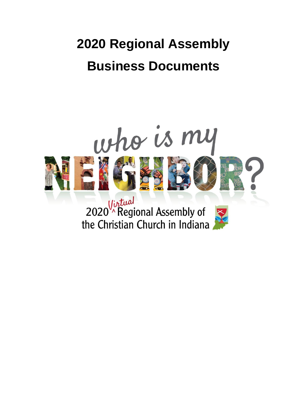# **2020 Regional Assembly Business Documents**

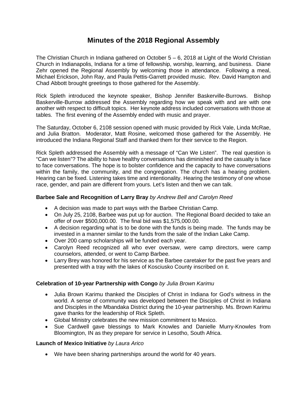# **Minutes of the 2018 Regional Assembly**

The Christian Church in Indiana gathered on October  $5 - 6$ , 2018 at Light of the World Christian Church in Indianapolis, Indiana for a time of fellowship, worship, learning, and business. Diane Zehr opened the Regional Assembly by welcoming those in attendance. Following a meal, Michael Erickson, John Ray, and Paula Pettis-Garrett provided music. Rev. David Hampton and Chad Abbott brought greetings to those gathered for the Assembly.

Rick Spleth introduced the keynote speaker, Bishop Jennifer Baskerville-Burrows. Bishop Baskerville-Burrow addressed the Assembly regarding how we speak with and are with one another with respect to difficult topics. Her keynote address included conversations with those at tables. The first evening of the Assembly ended with music and prayer.

The Saturday, October 6, 2108 session opened with music provided by Rick Vale, Linda McRae, and Julia Bratton. Moderator, Matt Rosine, welcomed those gathered for the Assembly. He introduced the Indiana Regional Staff and thanked them for their service to the Region.

Rick Spleth addressed the Assembly with a message of "Can We Listen". The real question is "Can we listen"? The ability to have healthy conversations has diminished and the casualty is face to face conversations. The hope is to bolster confidence and the capacity to have conversations within the family, the community, and the congregation. The church has a hearing problem. Hearing can be fixed. Listening takes time and intentionality. Hearing the testimony of one whose race, gender, and pain are different from yours. Let's listen and then we can talk.

## **Barbee Sale and Recognition of Larry Bray** *by Andrew Bell and Carolyn Reed*

- A decision was made to part ways with the Barbee Christian Camp.
- On July 25, 2108, Barbee was put up for auction. The Regional Board decided to take an offer of over \$500,000.00. The final bid was \$1,575,000.00.
- A decision regarding what is to be done with the funds is being made. The funds may be invested in a manner similar to the funds from the sale of the Indian Lake Camp.
- Over 200 camp scholarships will be funded each year.
- Carolyn Reed recognized all who ever oversaw, were camp directors, were camp counselors, attended, or went to Camp Barbee.
- Larry Brey was honored for his service as the Barbee caretaker for the past five years and presented with a tray with the lakes of Kosciusko County inscribed on it.

# **Celebration of 10-year Partnership with Congo** *by Julia Brown Karimu*

- Julia Brown Karimu thanked the Disciples of Christ in Indiana for God's witness in the world. A sense of community was developed between the Disciples of Christ in Indiana and Disciples in the Mbandaka District during the 10-year partnership. Ms. Brown Karimu gave thanks for the leadership of Rick Spleth.
- Global Ministry celebrates the new mission commitment to Mexico.
- Sue Cardwell gave blessings to Mark Knowles and Danielle Murry-Knowles from Bloomington, IN as they prepare for service in Lesotho, South Africa.

## **Launch of Mexico Initiative** *by Laura Arico*

• We have been sharing partnerships around the world for 40 years.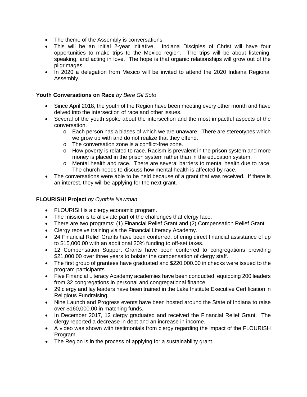- The theme of the Assembly is conversations.
- This will be an initial 2-year initiative. Indiana Disciples of Christ will have four opportunities to make trips to the Mexico region. The trips will be about listening, speaking, and acting in love. The hope is that organic relationships will grow out of the pilgrimages.
- In 2020 a delegation from Mexico will be invited to attend the 2020 Indiana Regional Assembly.

## **Youth Conversations on Race** *by Bere Gil Soto*

- Since April 2018, the youth of the Region have been meeting every other month and have delved into the intersection of race and other issues.
- Several of the youth spoke about the intersection and the most impactful aspects of the conversation.
	- o Each person has a biases of which we are unaware. There are stereotypes which we grow up with and do not realize that they offend.
	- o The conversation zone is a conflict-free zone.
	- $\circ$  How poverty is related to race. Racism is prevalent in the prison system and more money is placed in the prison system rather than in the education system.
	- o Mental health and race. There are several barriers to mental health due to race. The church needs to discuss how mental health is affected by race.
- The conversations were able to be held because of a grant that was received. If there is an interest, they will be applying for the next grant.

## **FLOURISH! Project** *by Cynthia Newman*

- FLOURISH is a clergy economic program.
- The mission is to alleviate part of the challenges that clergy face.
- There are two programs: (1) Financial Relief Grant and (2) Compensation Relief Grant
- Clergy receive training via the Financial Literacy Academy.
- 24 Financial Relief Grants have been conferred, offering direct financial assistance of up to \$15,000.00 with an additional 20% funding to off-set taxes.
- 12 Compensation Support Grants have been conferred to congregations providing \$21,000.00 over three years to bolster the compensation of clergy staff.
- The first group of grantees have graduated and \$220,000.00 in checks were issued to the program participants.
- Five Financial Literacy Academy academies have been conducted, equipping 200 leaders from 32 congregations in personal and congregational finance.
- 29 clergy and lay leaders have been trained in the Lake Institute Executive Certification in Religious Fundraising.
- Nine Launch and Progress events have been hosted around the State of Indiana to raise over \$160,000.00 in matching funds.
- In December 2017, 12 clergy graduated and received the Financial Relief Grant. The clergy reported a decrease in debt and an increase in income.
- A video was shown with testimonials from clergy regarding the impact of the FLOURISH Program.
- The Region is in the process of applying for a sustainability grant.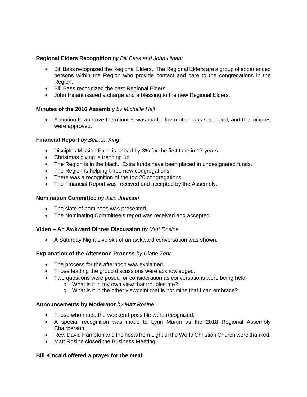## **Regional Elders Recognition** *by Bill Bass and John Hinant*

- Bill Bass recognized the Regional Elders. The Regional Elders are a group of experienced persons within the Region who provide contact and care to the congregations in the Region.
- Bill Bass recognized the past Regional Elders.
- John Hinant issued a charge and a blessing to the new Regional Elders.

# **Minutes of the 2016 Assembly** *by Michelle Hall*

• A motion to approve the minutes was made, the motion was seconded, and the minutes were approved.

# **Financial Report** *by Belinda King*

- Disciples Mission Fund is ahead by 3% for the first time in 17 years.
- Christmas giving is trending up.
- The Region is in the black. Extra funds have been placed in undesignated funds.
- The Region is helping three new congregations.
- There was a recognition of the top 20 congregations.
- The Financial Report was received and accepted by the Assembly.

# **Nomination Committee** *by Julia Johnson*

- The slate of nominees was presented.
- The Nominating Committee's report was received and accepted.

## **Video – An Awkward Dinner Discussion** *by Matt Rosine*

• A Saturday Night Live skit of an awkward conversation was shown.

# **Explanation of the Afternoon Process** *by Diane Zehr*

- The process for the afternoon was explained.
- Those leading the group discussions were acknowledged.
- Two questions were posed for consideration as conversations were being held.
	- o What is it in my own view that troubles me?
	- o What is it in the other viewpoint that is not mine that I can embrace?

## **Announcements by Moderator** *by Matt Rosine*

- Those who made the weekend possible were recognized.
- A special recognition was made to Lynn Martin as the 2018 Regional Assembly Chairperson.
- Rev. David Hampton and the hosts from Light of the World Christian Church were thanked.
- Matt Rosine closed the Business Meeting.

## **Bill Kincaid offered a prayer for the meal.**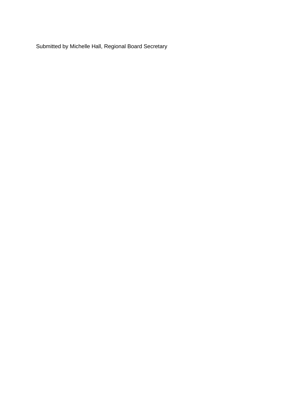Submitted by Michelle Hall, Regional Board Secretary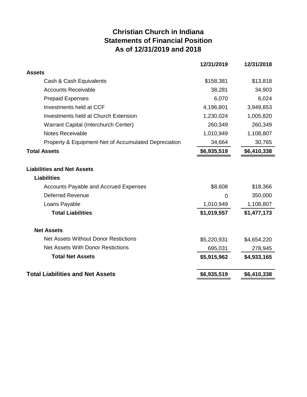# **Christian Church in Indiana Statements of Financial Position As of 12/31/2019 and 2018**

|                                                         | 12/31/2019  | 12/31/2018  |
|---------------------------------------------------------|-------------|-------------|
| <b>Assets</b>                                           |             |             |
| Cash & Cash Equivalents                                 | \$158,381   | \$13,818    |
| <b>Accounts Receivable</b>                              | 38,281      | 34,903      |
| <b>Prepaid Expenses</b>                                 | 6,070       | 6,024       |
| Investments held at CCF                                 | 4,196,801   | 3,949,853   |
| Investments held at Church Extension                    | 1,230,024   | 1,005,820   |
| Warrant Capital (Interchurch Center)                    | 260,349     | 260,349     |
| <b>Notes Receivable</b>                                 | 1,010,949   | 1,108,807   |
| Property & Equipment-Net of Accumulated Depreciation    | 34,664      | 30,765      |
| <b>Total Assets</b>                                     | \$6,935,519 | \$6,410,338 |
| <b>Liabilities and Net Assets</b><br><b>Liabilities</b> |             |             |
| <b>Accounts Payable and Accrued Expenses</b>            | \$8,608     | \$18,366    |
| <b>Deferred Revenue</b>                                 | 0           | 350,000     |
| Loans Payable                                           | 1,010,949   | 1,108,807   |
| <b>Total Liabilities</b>                                | \$1,019,557 | \$1,477,173 |
| <b>Net Assets</b>                                       |             |             |
| <b>Net Assets Without Donor Restictions</b>             | \$5,220,931 | \$4,654,220 |
| <b>Net Assets With Donor Restictions</b>                | 695,031     | 278,945     |
| <b>Total Net Assets</b>                                 | \$5,915,962 | \$4,933,165 |
| <b>Total Liabilities and Net Assets</b>                 | \$6,935,519 | \$6,410,338 |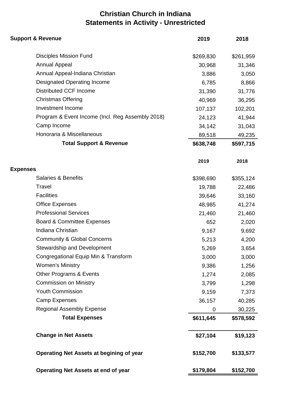# **Christian Church in Indiana Statements in Activity - Unrestricted**

| <b>Support &amp; Revenue</b>                     | 2019             | 2018             |
|--------------------------------------------------|------------------|------------------|
| <b>Disciples Mission Fund</b>                    | \$269,830        | \$261,959        |
| <b>Annual Appeal</b>                             | 30,968           | 31,346           |
| Annual Appeal-Indiana Christian                  | 3,886            | 3,050            |
| <b>Designated Operating Income</b>               | 6,785            | 8,866            |
| <b>Distributed CCF Income</b>                    | 31,390<br>40,969 | 31,776<br>36,295 |
| <b>Christmas Offering</b>                        |                  |                  |
| Investment Income                                | 107,137          | 102,201          |
| Program & Event Income (Incl. Reg Assembly 2018) | 24,123           | 41,944           |
| Camp Income                                      | 34,142           | 31,043           |
| Honoraria & Miscellaneous                        | 89,518           | 49,235           |
| <b>Total Support &amp; Revenue</b>               | \$638,748        | \$597,715        |
|                                                  | 2019             | 2018             |
| <b>Expenses</b>                                  |                  |                  |
| <b>Salaries &amp; Benefits</b>                   | \$398,690        | \$355,124        |
| Travel                                           | 19,788           | 22,486           |
| <b>Facilities</b>                                | 39,646           | 33,160           |
| <b>Office Expenses</b>                           | 48,985           | 41,274           |
| <b>Professional Services</b>                     | 21,460           | 21,460           |
| <b>Board &amp; Committee Expenses</b>            | 652              | 2,020            |
| Indiana Christian                                | 9,167            | 9,692            |
| <b>Community &amp; Global Concerns</b>           | 5,213            | 4,200            |
| Stewardship and Development                      | 5,269            | 3,654            |
| Congregational Equip Min & Transform             | 3,000            | 3,000            |
| <b>Women's Ministry</b>                          | 9,386            | 1,256            |
| Other Programs & Events                          | 1,274            | 2,085            |
| <b>Commission on Ministry</b>                    | 3,799            | 1,298            |
| <b>Youth Commission</b>                          | 9,159            | 7,373            |
| <b>Camp Expenses</b>                             | 36,157           | 40,285           |
| <b>Regional Assembly Expense</b>                 | 0                | 30,225           |
| <b>Total Expenses</b>                            | \$611,645        | \$578,592        |
| <b>Change in Net Assets</b>                      | \$27,104         | \$19,123         |
| <b>Operating Net Assets at begining of year</b>  | \$152,700        | \$133,577        |
| <b>Operating Net Assets at end of year</b>       | \$179,804        | \$152,700        |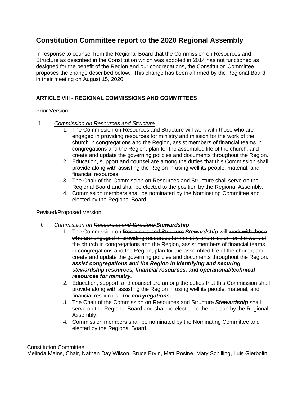# **Constitution Committee report to the 2020 Regional Assembly**

In response to counsel from the Regional Board that the Commission on Resources and Structure as described in the Constitution which was adopted in 2014 has not functioned as designed for the benefit of the Region and our congregations, the Constitution Committee proposes the change described below. This change has been affirmed by the Regional Board in their meeting on August 15, 2020.

# **ARTICLE VIII - REGIONAL COMMISSIONS AND COMMITTEES**

#### Prior Version

- I. *Commission on Resources and Structure*
	- 1. The Commission on Resources and Structure will work with those who are engaged in providing resources for ministry and mission for the work of the church in congregations and the Region, assist members of financial teams in congregations and the Region, plan for the assembled life of the church, and create and update the governing policies and documents throughout the Region.
	- 2. Education, support and counsel are among the duties that this Commission shall provide along with assisting the Region in using well its people, material, and financial resources.
	- 3. The Chair of the Commission on Resources and Structure shall serve on the Regional Board and shall be elected to the position by the Regional Assembly.
	- 4. Commission members shall be nominated by the Nominating Committee and elected by the Regional Board.

## Revised/Proposed Version

- *I. Commission on Resources and Structure Stewardship*
	- 1. The Commission on Resources and Structure *Stewardship* will work with those who are engaged in providing resources for ministry and mission for the work of the church in congregations and the Region, assist members of financial teams in congregations and the Region, plan for the assembled life of the church, and create and update the governing policies and documents throughout the Region. *assist congregations and the Region in identifying and securing stewardship resources, financial resources, and operational/technical resources for ministry.*
	- 2. Education, support, and counsel are among the duties that this Commission shall provide along with assisting the Region in using well its people, material, and financial resources. *for congregations.*
	- 3. The Chair of the Commission on Resources and Structure *Stewardship* shall serve on the Regional Board and shall be elected to the position by the Regional Assembly.
	- 4. Commission members shall be nominated by the Nominating Committee and elected by the Regional Board.

#### Constitution Committee

Melinda Mains, Chair, Nathan Day Wilson, Bruce Ervin, Matt Rosine, Mary Schilling, Luis Gierbolini